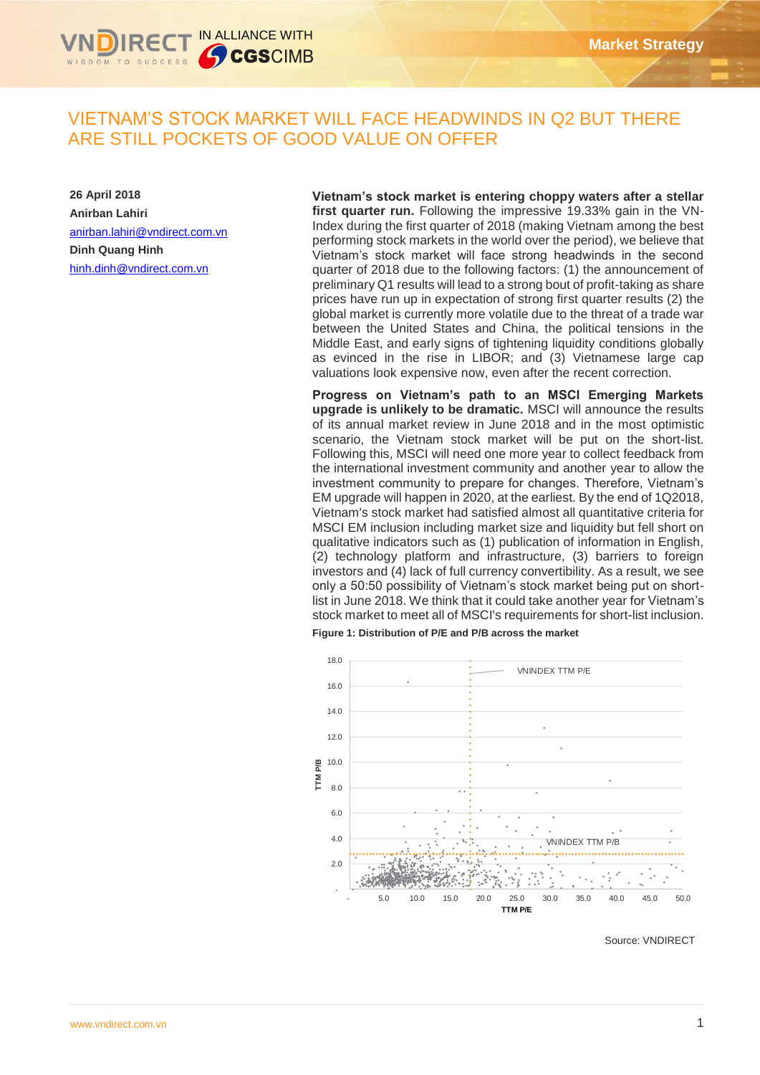

# VIETNAM'S STOCK MARKET WILL FACE HEADWINDS IN Q2 BUT THERE ARE STILL POCKETS OF GOOD VALUE ON OFFER

**26 April 2018 Anirban Lahiri** [anirban.lahiri@vndirect.com.vn](mailto:anirban.lahiri@vndirect.com.vn) **Dinh Quang Hinh** [hinh.dinh@vndirect.com.vn](mailto:hinh.dinh@vndirect.com.vn)

**Vietnam's stock market is entering choppy waters after a stellar first quarter run.** Following the impressive 19.33% gain in the VN-Index during the first quarter of 2018 (making Vietnam among the best performing stock markets in the world over the period), we believe that Vietnam's stock market will face strong headwinds in the second quarter of 2018 due to the following factors: (1) the announcement of preliminary Q1 results will lead to a strong bout of profit-taking as share prices have run up in expectation of strong first quarter results (2) the global market is currently more volatile due to the threat of a trade war between the United States and China, the political tensions in the Middle East, and early signs of tightening liquidity conditions globally as evinced in the rise in LIBOR; and (3) Vietnamese large cap valuations look expensive now, even after the recent correction.

**Progress on Vietnam's path to an MSCI Emerging Markets upgrade is unlikely to be dramatic.** MSCI will announce the results of its annual market review in June 2018 and in the most optimistic scenario, the Vietnam stock market will be put on the short-list. Following this, MSCI will need one more year to collect feedback from the international investment community and another year to allow the investment community to prepare for changes. Therefore, Vietnam's EM upgrade will happen in 2020, at the earliest. By the end of 1Q2018, Vietnam's stock market had satisfied almost all quantitative criteria for MSCI EM inclusion including market size and liquidity but fell short on qualitative indicators such as (1) publication of information in English, (2) technology platform and infrastructure, (3) barriers to foreign investors and (4) lack of full currency convertibility. As a result, we see only a 50:50 possibility of Vietnam's stock market being put on shortlist in June 2018. We think that it could take another year for Vietnam's stock market to meet all of MSCI's requirements for short-list inclusion. **Figure 1: Distribution of P/E and P/B across the market** 



Source: VNDIRECT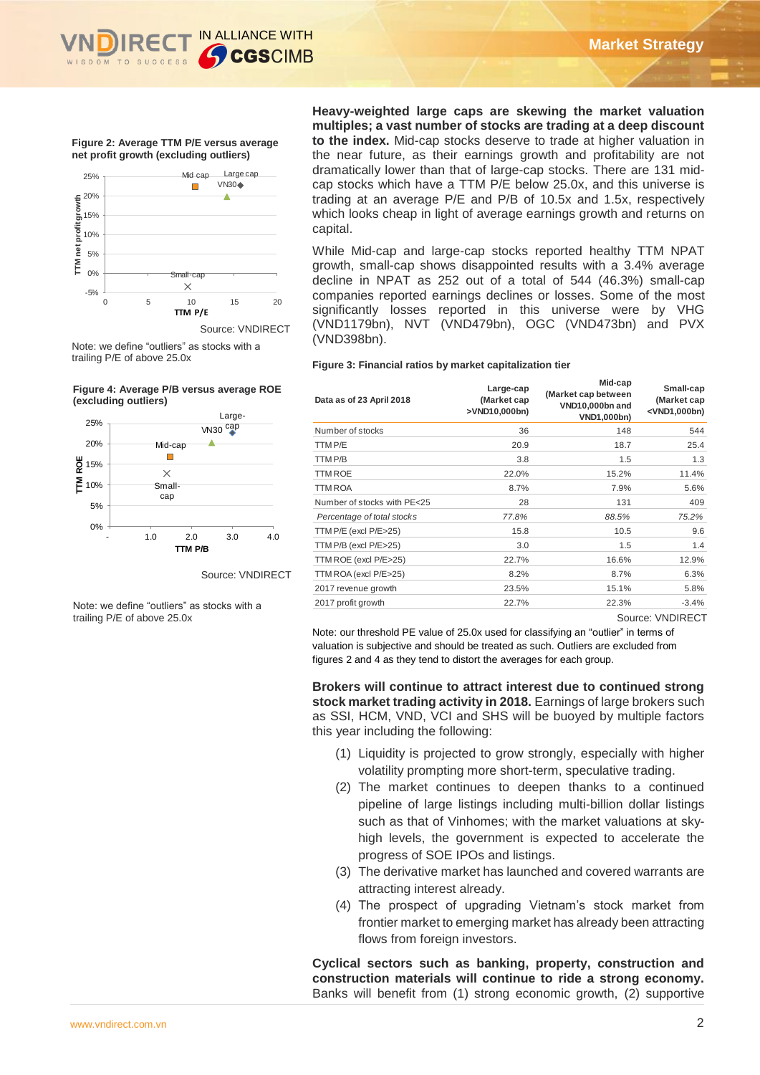**Figure 2: Average TTM P/E versus average net profit growth (excluding outliers)**



Note: we define "outliers" as stocks with a trailing P/E of above 25.0x





Source: VNDIRECT

Note: we define "outliers" as stocks with a trailing P/E of above 25.0x

**Heavy-weighted large caps are skewing the market valuation multiples; a vast number of stocks are trading at a deep discount to the index.** Mid-cap stocks deserve to trade at higher valuation in the near future, as their earnings growth and profitability are not dramatically lower than that of large-cap stocks. There are 131 midcap stocks which have a TTM P/E below 25.0x, and this universe is trading at an average P/E and P/B of 10.5x and 1.5x, respectively which looks cheap in light of average earnings growth and returns on capital.

While Mid-cap and large-cap stocks reported healthy TTM NPAT while this cap and large cap stocks reported freatility TTM NTAT<br>growth, small-cap shows disappointed results with a 3.4% average decline in NPAT as 252 out of a total of 544 (46.3%) small-cap companies reported earnings declines or losses. Some of the most significantly losses reported in this universe were by VHG (VND1179bn), NVT (VND479bn), OGC (VND473bn) and PVX (VND398bn).

#### **Figure 3: Financial ratios by market capitalization tier**

| Data as of 23 April 2018                                                                                                                                                                                                                                                                                                                                                                                                               | Large-cap<br>(Market cap<br>>VND10,000bn) | Mid-cap<br>(Market cap between<br>VND10,000bn and<br>VND1,000bn)                                                                                                                                                                                                                                                                | Small-cap<br>(Market cap<br><vnd1,000bn)< th=""></vnd1,000bn)<> |
|----------------------------------------------------------------------------------------------------------------------------------------------------------------------------------------------------------------------------------------------------------------------------------------------------------------------------------------------------------------------------------------------------------------------------------------|-------------------------------------------|---------------------------------------------------------------------------------------------------------------------------------------------------------------------------------------------------------------------------------------------------------------------------------------------------------------------------------|-----------------------------------------------------------------|
| Number of stocks                                                                                                                                                                                                                                                                                                                                                                                                                       | 36                                        | 148                                                                                                                                                                                                                                                                                                                             | 544                                                             |
| TTM P/E                                                                                                                                                                                                                                                                                                                                                                                                                                | 20.9                                      | 18.7                                                                                                                                                                                                                                                                                                                            | 25.4                                                            |
| TTM P/B                                                                                                                                                                                                                                                                                                                                                                                                                                | 3.8                                       | 1.5                                                                                                                                                                                                                                                                                                                             | 1.3                                                             |
| <b>TTM ROE</b>                                                                                                                                                                                                                                                                                                                                                                                                                         | 22.0%                                     | 15.2%                                                                                                                                                                                                                                                                                                                           | 11.4%                                                           |
| <b>TTM ROA</b>                                                                                                                                                                                                                                                                                                                                                                                                                         | 8.7%                                      | 7.9%                                                                                                                                                                                                                                                                                                                            | 5.6%                                                            |
| Number of stocks with PE<25                                                                                                                                                                                                                                                                                                                                                                                                            | 28                                        | 131                                                                                                                                                                                                                                                                                                                             | 409                                                             |
| Percentage of total stocks                                                                                                                                                                                                                                                                                                                                                                                                             | 77.8%                                     | 88.5%                                                                                                                                                                                                                                                                                                                           | 75.2%                                                           |
| TTM P/E (excl P/E>25)                                                                                                                                                                                                                                                                                                                                                                                                                  | 15.8                                      | 10.5                                                                                                                                                                                                                                                                                                                            | 9.6                                                             |
| TTM P/B (excl P/E>25)                                                                                                                                                                                                                                                                                                                                                                                                                  | 3.0                                       | 1.5                                                                                                                                                                                                                                                                                                                             | 1.4                                                             |
| TTM ROE (excl P/E>25)                                                                                                                                                                                                                                                                                                                                                                                                                  | 22.7%                                     | 16.6%                                                                                                                                                                                                                                                                                                                           | 12.9%                                                           |
| TTM ROA (excl P/E>25)                                                                                                                                                                                                                                                                                                                                                                                                                  | 8.2%                                      | 8.7%                                                                                                                                                                                                                                                                                                                            | 6.3%                                                            |
| 2017 revenue growth                                                                                                                                                                                                                                                                                                                                                                                                                    | 23.5%                                     | 15.1%                                                                                                                                                                                                                                                                                                                           | 5.8%                                                            |
| 2017 profit growth                                                                                                                                                                                                                                                                                                                                                                                                                     | 22.7%                                     | 22.3%                                                                                                                                                                                                                                                                                                                           | $-3.4%$                                                         |
| valuation is subjective and should be treated as such. Outliers are excluded from<br>figures 2 and 4 as they tend to distort the averages for each group.<br>Brokers will continue to attract interest due to continued strong<br>stock market trading activity in 2018. Earnings of large brokers such<br>as SSI, HCM, VND, VCI and SHS will be buoyed by multiple factors<br>this year including the following:                      |                                           |                                                                                                                                                                                                                                                                                                                                 |                                                                 |
| (1) Liquidity is projected to grow strongly, especially with higher<br>(2) The market continues to deepen thanks to a continued<br>progress of SOE IPOs and listings.<br>(3) The derivative market has launched and covered warrants are<br>attracting interest already.<br>(4) The prospect of upgrading Vietnam's stock market from<br>flows from foreign investors.<br>Cyclical sectors such as banking, property, construction and |                                           | volatility prompting more short-term, speculative trading.<br>pipeline of large listings including multi-billion dollar listings<br>such as that of Vinhomes; with the market valuations at sky-<br>high levels, the government is expected to accelerate the<br>frontier market to emerging market has already been attracting |                                                                 |
| construction materials will continue to ride a strong economy.<br>Banks will benefit from (1) strong economic growth, (2) supportive                                                                                                                                                                                                                                                                                                   |                                           |                                                                                                                                                                                                                                                                                                                                 |                                                                 |

- (1) Liquidity is projected to grow strongly, especially with higher volatility prompting more short-term, speculative trading.
- (2) The market continues to deepen thanks to a continued pipeline of large listings including multi-billion dollar listings such as that of Vinhomes; with the market valuations at skyhigh levels, the government is expected to accelerate the progress of SOE IPOs and listings.
- (3) The derivative market has launched and covered warrants are attracting interest already.
- (4) The prospect of upgrading Vietnam's stock market from frontier market to emerging market has already been attracting flows from foreign investors.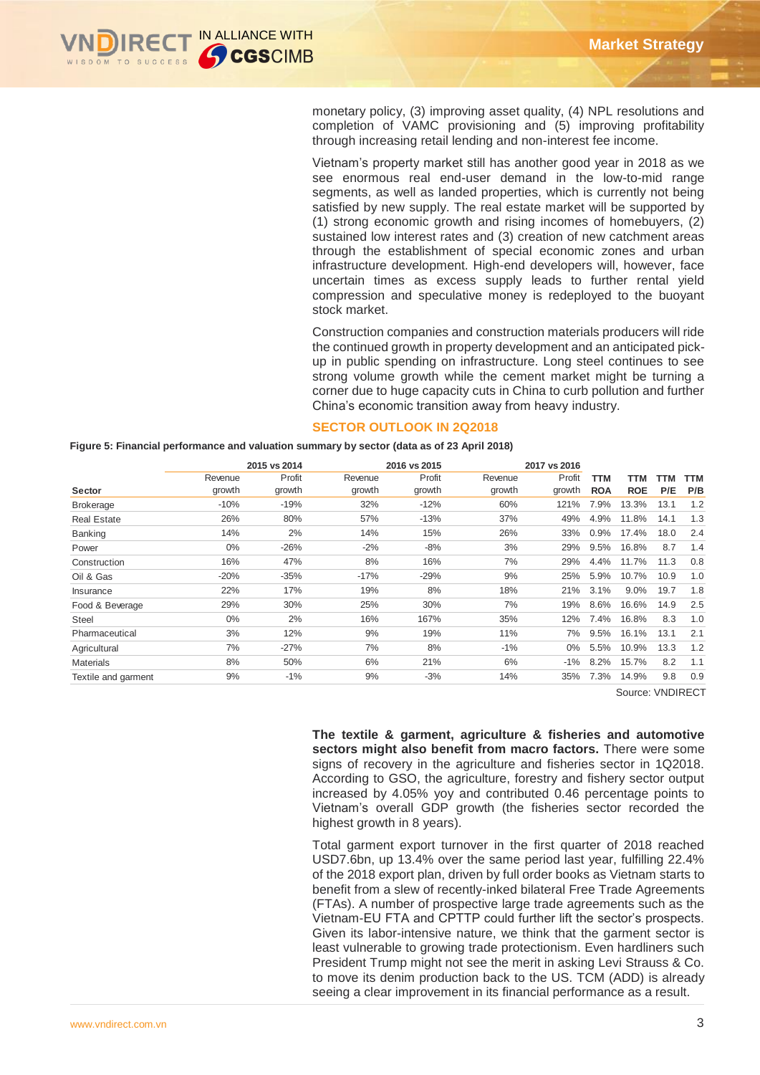

monetary policy, (3) improving asset quality, (4) NPL resolutions and completion of VAMC provisioning and (5) improving profitability through increasing retail lending and non-interest fee income.

Vietnam's property market still has another good year in 2018 as we see enormous real end-user demand in the low-to-mid range segments, as well as landed properties, which is currently not being satisfied by new supply. The real estate market will be supported by (1) strong economic growth and rising incomes of homebuyers, (2) sustained low interest rates and (3) creation of new catchment areas through the establishment of special economic zones and urban infrastructure development. High-end developers will, however, face uncertain times as excess supply leads to further rental yield compression and speculative money is redeployed to the buoyant stock market.

Construction companies and construction materials producers will ride the continued growth in property development and an anticipated pickup in public spending on infrastructure. Long steel continues to see strong volume growth while the cement market might be turning a corner due to huge capacity cuts in China to curb pollution and further China's economic transition away from heavy industry.

#### **SECTOR OUTLOOK IN 2Q2018**

**Figure 5: Financial performance and valuation summary by sector (data as of 23 April 2018)**

|                     |         | 2015 vs 2014 |                             | 2016 vs 2015 |                                                                                                                                                                                                                                                                                                                                                                                                                                                                                                                                                                                                                                                                                                                                                                                                                    | 2017 vs 2016 |            |            |            |            |
|---------------------|---------|--------------|-----------------------------|--------------|--------------------------------------------------------------------------------------------------------------------------------------------------------------------------------------------------------------------------------------------------------------------------------------------------------------------------------------------------------------------------------------------------------------------------------------------------------------------------------------------------------------------------------------------------------------------------------------------------------------------------------------------------------------------------------------------------------------------------------------------------------------------------------------------------------------------|--------------|------------|------------|------------|------------|
|                     | Revenue | Profit       | Revenue                     | Profit       | Revenue                                                                                                                                                                                                                                                                                                                                                                                                                                                                                                                                                                                                                                                                                                                                                                                                            | Profit       | <b>TTM</b> | TTM        | <b>TTM</b> | <b>TTM</b> |
| Sector              | growth  | growth       | growth                      | growth       | growth                                                                                                                                                                                                                                                                                                                                                                                                                                                                                                                                                                                                                                                                                                                                                                                                             | growth       | <b>ROA</b> | <b>ROE</b> | P/E        | P/B        |
| <b>Brokerage</b>    | $-10%$  | $-19%$       | 32%                         | $-12%$       | 60%                                                                                                                                                                                                                                                                                                                                                                                                                                                                                                                                                                                                                                                                                                                                                                                                                | 121%         | 7.9%       | 13.3%      | 13.1       | 1.2        |
| <b>Real Estate</b>  | 26%     | 80%          | 57%                         | $-13%$       | 37%                                                                                                                                                                                                                                                                                                                                                                                                                                                                                                                                                                                                                                                                                                                                                                                                                | 49%          | 4.9%       | 11.8%      | 14.1       | 1.3        |
| Banking             | 14%     | 2%           | 14%                         | 15%          | 26%                                                                                                                                                                                                                                                                                                                                                                                                                                                                                                                                                                                                                                                                                                                                                                                                                | 33%          | 0.9%       | 17.4%      | 18.0       | 2.4        |
| Power               | 0%      | $-26%$       | $-2%$                       | $-8%$        | 3%                                                                                                                                                                                                                                                                                                                                                                                                                                                                                                                                                                                                                                                                                                                                                                                                                 | 29%          | 9.5%       | 16.8%      | 8.7        | 1.4        |
| Construction        | 16%     | 47%          | 8%                          | 16%          | 7%                                                                                                                                                                                                                                                                                                                                                                                                                                                                                                                                                                                                                                                                                                                                                                                                                 | 29%          | 4.4%       | 11.7%      | 11.3       | 0.8        |
| Oil & Gas           | $-20%$  | $-35%$       | $-17%$                      | $-29%$       | 9%                                                                                                                                                                                                                                                                                                                                                                                                                                                                                                                                                                                                                                                                                                                                                                                                                 | 25%          | 5.9%       | 10.7%      | 10.9       | 1.0        |
| Insurance           | 22%     | 17%          | 19%                         | 8%           | 18%                                                                                                                                                                                                                                                                                                                                                                                                                                                                                                                                                                                                                                                                                                                                                                                                                | 21%          | 3.1%       | 9.0%       | 19.7       | 1.8        |
| Food & Beverage     | 29%     | 30%          | 25%                         | 30%          | 7%                                                                                                                                                                                                                                                                                                                                                                                                                                                                                                                                                                                                                                                                                                                                                                                                                 | 19%          | 8.6%       | 16.6%      | 14.9       | 2.5        |
| <b>Steel</b>        | $0\%$   | 2%           | 16%                         | 167%         | 35%                                                                                                                                                                                                                                                                                                                                                                                                                                                                                                                                                                                                                                                                                                                                                                                                                | 12%          | 7.4%       | 16.8%      | 8.3        | 1.0        |
| Pharmaceutical      | 3%      | 12%          | 9%                          | 19%          | 11%                                                                                                                                                                                                                                                                                                                                                                                                                                                                                                                                                                                                                                                                                                                                                                                                                | 7%           | 9.5%       | 16.1%      | 13.1       | 2.1        |
| Agricultural        | 7%      | $-27%$       | 7%                          | 8%           | $-1%$                                                                                                                                                                                                                                                                                                                                                                                                                                                                                                                                                                                                                                                                                                                                                                                                              | 0%           | 5.5%       | 10.9%      | 13.3       | 1.2        |
| <b>Materials</b>    | 8%      | 50%          | 6%                          | 21%          | 6%                                                                                                                                                                                                                                                                                                                                                                                                                                                                                                                                                                                                                                                                                                                                                                                                                 | $-1%$        | 8.2%       | 15.7%      | 8.2        | 1.1        |
| Textile and garment | 9%      | $-1%$        | 9%                          | $-3%$        | 14%                                                                                                                                                                                                                                                                                                                                                                                                                                                                                                                                                                                                                                                                                                                                                                                                                | 35%          | 7.3%       | 14.9%      | 9.8        | 0.9        |
|                     |         |              | highest growth in 8 years). |              | sectors might also benefit from macro factors. There were some<br>signs of recovery in the agriculture and fisheries sector in 1Q2018.<br>According to GSO, the agriculture, forestry and fishery sector output<br>increased by 4.05% yoy and contributed 0.46 percentage points to<br>Vietnam's overall GDP growth (the fisheries sector recorded the                                                                                                                                                                                                                                                                                                                                                                                                                                                             |              |            |            |            |            |
|                     |         |              |                             |              | Total garment export turnover in the first quarter of 2018 reached<br>USD7.6bn, up 13.4% over the same period last year, fulfilling 22.4%<br>of the 2018 export plan, driven by full order books as Vietnam starts to<br>benefit from a slew of recently-inked bilateral Free Trade Agreements<br>(FTAs). A number of prospective large trade agreements such as the<br>Vietnam-EU FTA and CPTTP could further lift the sector's prospects.<br>Given its labor-intensive nature, we think that the garment sector is<br>least vulnerable to growing trade protectionism. Even hardliners such<br>President Trump might not see the merit in asking Levi Strauss & Co.<br>to move its denim production back to the US. TCM (ADD) is already<br>seeing a clear improvement in its financial performance as a result. |              |            |            |            |            |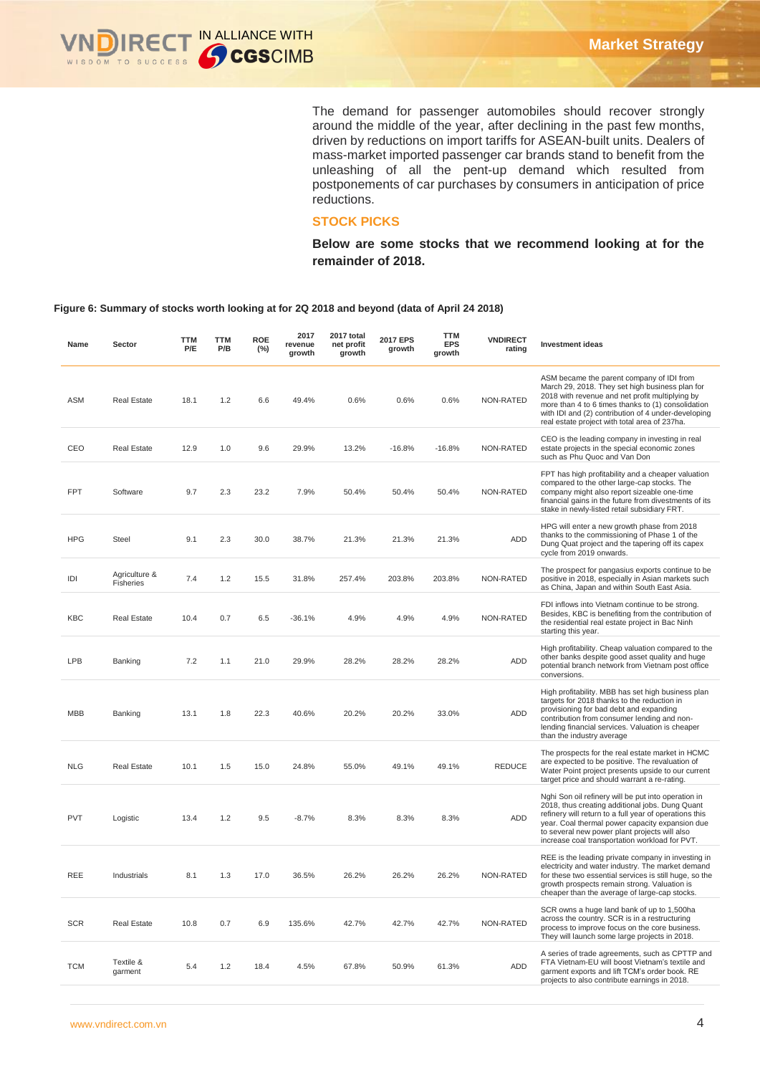

The demand for passenger automobiles should recover strongly around the middle of the year, after declining in the past few months, driven by reductions on import tariffs for ASEAN-built units. Dealers of mass-market imported passenger car brands stand to benefit from the unleashing of all the pent-up demand which resulted from postponements of car purchases by consumers in anticipation of price reductions.

# **STOCK PICKS**

**Below are some stocks that we recommend looking at for the remainder of 2018.** 

#### **Figure 6: Summary of stocks worth looking at for 2Q 2018 and beyond (data of April 24 2018)**

| Name       | Sector                     | <b>TTM</b><br>P/E | <b>TTM</b><br>P/B | <b>ROE</b><br>(%) | 2017<br>revenue<br>growth | 2017 total<br>net profit<br>growth | 2017 EPS<br>growth | <b>TTM</b><br><b>EPS</b><br>growth | <b>VNDIRECT</b><br>rating | <b>Investment ideas</b>                                                                                                                                                                                                                                                                                                |
|------------|----------------------------|-------------------|-------------------|-------------------|---------------------------|------------------------------------|--------------------|------------------------------------|---------------------------|------------------------------------------------------------------------------------------------------------------------------------------------------------------------------------------------------------------------------------------------------------------------------------------------------------------------|
| ASM        | <b>Real Estate</b>         | 18.1              | 1.2               | 6.6               | 49.4%                     | 0.6%                               | 0.6%               | 0.6%                               | NON-RATED                 | ASM became the parent company of IDI from<br>March 29, 2018. They set high business plan for<br>2018 with revenue and net profit multiplying by<br>more than 4 to 6 times thanks to (1) consolidation<br>with IDI and (2) contribution of 4 under-developing<br>real estate project with total area of 237ha.          |
| CEO        | Real Estate                | 12.9              | 1.0               | 9.6               | 29.9%                     | 13.2%                              | $-16.8%$           | $-16.8%$                           | NON-RATED                 | CEO is the leading company in investing in real<br>estate projects in the special economic zones<br>such as Phu Quoc and Van Don                                                                                                                                                                                       |
| <b>FPT</b> | Software                   | 9.7               | 2.3               | 23.2              | 7.9%                      | 50.4%                              | 50.4%              | 50.4%                              | NON-RATED                 | FPT has high profitability and a cheaper valuation<br>compared to the other large-cap stocks. The<br>company might also report sizeable one-time<br>financial gains in the future from divestments of its<br>stake in newly-listed retail subsidiary FRT.                                                              |
| <b>HPG</b> | Steel                      | 9.1               | 2.3               | 30.0              | 38.7%                     | 21.3%                              | 21.3%              | 21.3%                              | <b>ADD</b>                | HPG will enter a new growth phase from 2018<br>thanks to the commissioning of Phase 1 of the<br>Dung Quat project and the tapering off its capex<br>cycle from 2019 onwards.                                                                                                                                           |
| IDI        | Agriculture &<br>Fisheries | 7.4               | 1.2               | 15.5              | 31.8%                     | 257.4%                             | 203.8%             | 203.8%                             | NON-RATED                 | The prospect for pangasius exports continue to be<br>positive in 2018, especially in Asian markets such<br>as China, Japan and within South East Asia.                                                                                                                                                                 |
| KBC        | <b>Real Estate</b>         | 10.4              | 0.7               | 6.5               | -36.1%                    | 4.9%                               | 4.9%               | 4.9%                               | NON-RATED                 | FDI inflows into Vietnam continue to be strong.<br>Besides, KBC is benefiting from the contribution of<br>the residential real estate project in Bac Ninh<br>starting this year.                                                                                                                                       |
| LPB        | Banking                    | 7.2               | 1.1               | 21.0              | 29.9%                     | 28.2%                              | 28.2%              | 28.2%                              | <b>ADD</b>                | High profitability. Cheap valuation compared to the<br>other banks despite good asset quality and huge<br>potential branch network from Vietnam post office<br>conversions.                                                                                                                                            |
| <b>MBB</b> | Banking                    | 13.1              | 1.8               | 22.3              | 40.6%                     | 20.2%                              | 20.2%              | 33.0%                              | <b>ADD</b>                | High profitability. MBB has set high business plan<br>targets for 2018 thanks to the reduction in<br>provisioning for bad debt and expanding<br>contribution from consumer lending and non-<br>lending financial services. Valuation is cheaper<br>than the industry average                                           |
| <b>NLG</b> | <b>Real Estate</b>         | 10.1              | 1.5               | 15.0              | 24.8%                     | 55.0%                              | 49.1%              | 49.1%                              | <b>REDUCE</b>             | The prospects for the real estate market in HCMC<br>are expected to be positive. The revaluation of<br>Water Point project presents upside to our current<br>target price and should warrant a re-rating.                                                                                                              |
| <b>PVT</b> | Logistic                   | 13.4              | 1.2               | 9.5               | $-8.7%$                   | 8.3%                               | 8.3%               | 8.3%                               | <b>ADD</b>                | Nghi Son oil refinery will be put into operation in<br>2018, thus creating additional jobs. Dung Quant<br>refinery will return to a full year of operations this<br>year. Coal thermal power capacity expansion due<br>to several new power plant projects will also<br>increase coal transportation workload for PVT. |
| REE        | Industrials                | 8.1               | 1.3               | 17.0              | 36.5%                     | 26.2%                              | 26.2%              | 26.2%                              | NON-RATED                 | REE is the leading private company in investing in<br>electricity and water industry. The market demand<br>for these two essential services is still huge, so the<br>growth prospects remain strong. Valuation is<br>cheaper than the average of large-cap stocks.                                                     |
| <b>SCR</b> | <b>Real Estate</b>         | 10.8              | 0.7               | 6.9               | 135.6%                    | 42.7%                              | 42.7%              | 42.7%                              | NON-RATED                 | SCR owns a huge land bank of up to 1,500ha<br>across the country. SCR is in a restructuring<br>process to improve focus on the core business.<br>They will launch some large projects in 2018.                                                                                                                         |
| <b>TCM</b> | Textile &<br>garment       | 5.4               | 1.2               | 18.4              | 4.5%                      | 67.8%                              | 50.9%              | 61.3%                              | ADD                       | A series of trade agreements, such as CPTTP and<br>FTA Vietnam-EU will boost Vietnam's textile and<br>garment exports and lift TCM's order book. RE<br>projects to also contribute earnings in 2018.                                                                                                                   |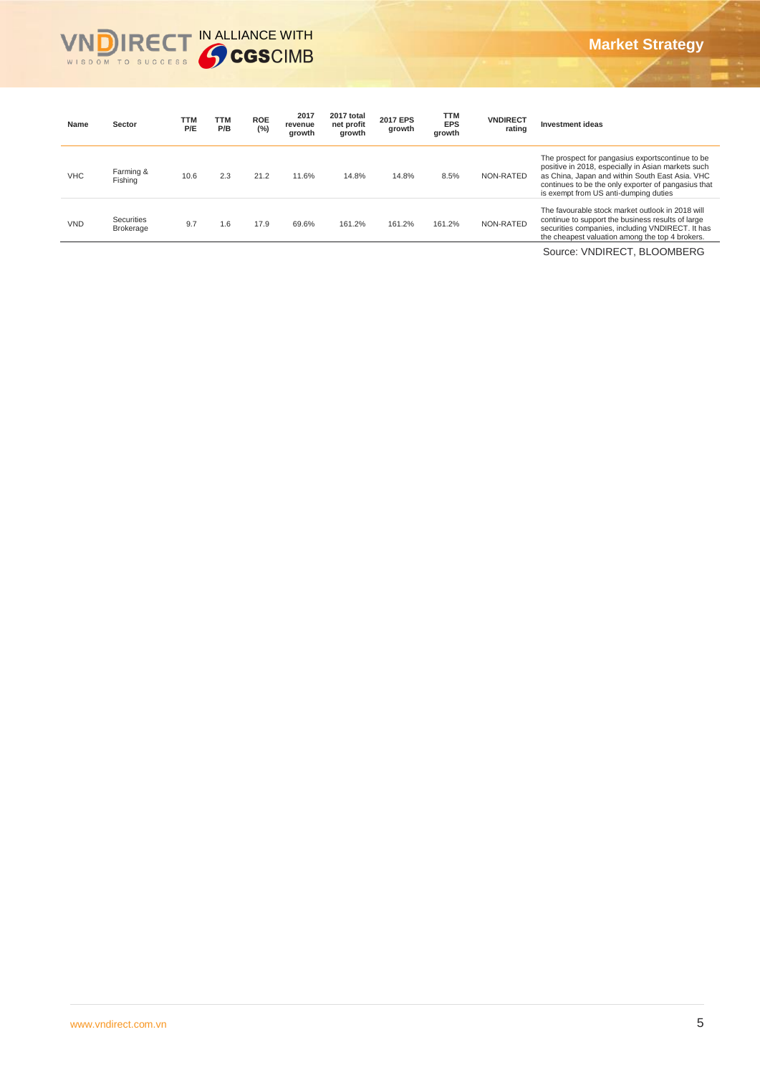# **Market Strategy**



| Name       | Sector                         | <b>TTM</b><br>P/E | TTM<br>P/B | <b>ROE</b><br>(%) | 2017<br>revenue<br>growth | 2017 total<br>net profit<br>growth | <b>2017 EPS</b><br>growth | <b>TTM</b><br><b>EPS</b><br>growth | <b>VNDIRECT</b><br>rating | <b>Investment ideas</b>                                                                                                                                                                                                                                   |
|------------|--------------------------------|-------------------|------------|-------------------|---------------------------|------------------------------------|---------------------------|------------------------------------|---------------------------|-----------------------------------------------------------------------------------------------------------------------------------------------------------------------------------------------------------------------------------------------------------|
| <b>VHC</b> | Farming &<br>Fishing           | 10.6              | 2.3        | 21.2              | 11.6%                     | 14.8%                              | 14.8%                     | 8.5%                               | NON-RATED                 | The prospect for pangasius exportscontinue to be<br>positive in 2018, especially in Asian markets such<br>as China, Japan and within South East Asia, VHC<br>continues to be the only exporter of pangasius that<br>is exempt from US anti-dumping duties |
| <b>VND</b> | Securities<br><b>Brokerage</b> | 9.7               | 1.6        | 17.9              | 69.6%                     | 161.2%                             | 161.2%                    | 161.2%                             | NON-RATED                 | The favourable stock market outlook in 2018 will<br>continue to support the business results of large<br>securities companies, including VNDIRECT. It has<br>the cheapest valuation among the top 4 brokers.                                              |
|            |                                |                   |            |                   |                           |                                    |                           |                                    |                           | Source: VNDIRECT, BLOOMBERG                                                                                                                                                                                                                               |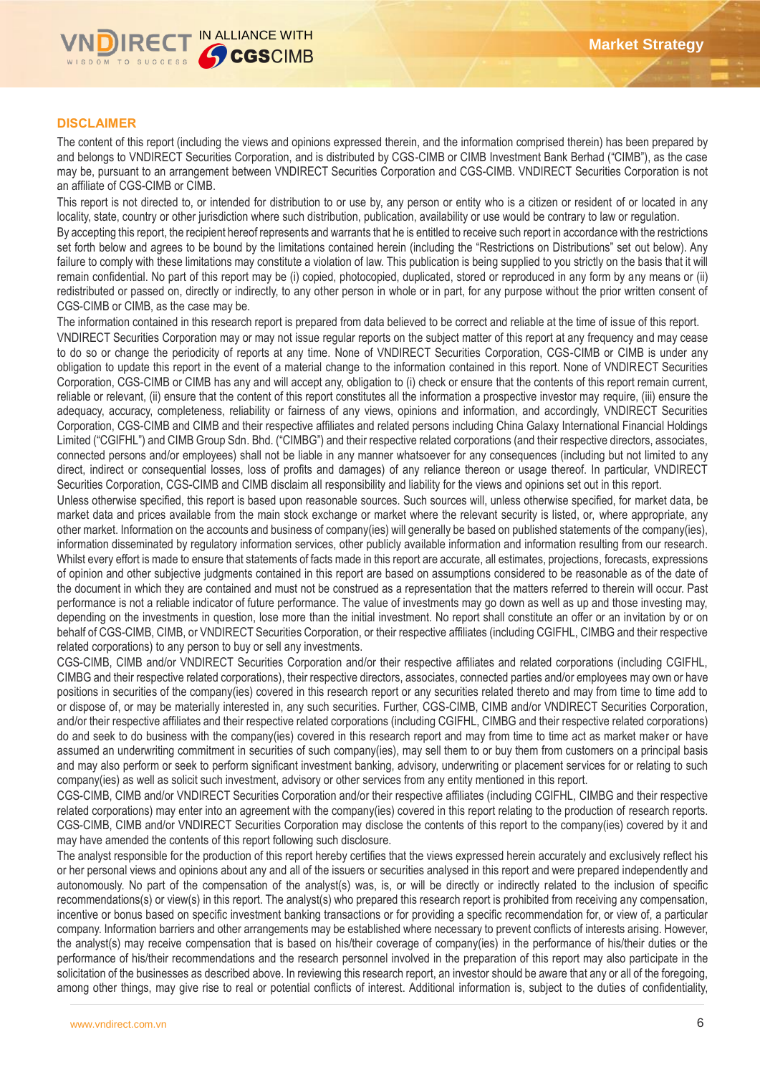

## **DISCLAIMER**

The content of this report (including the views and opinions expressed therein, and the information comprised therein) has been prepared by and belongs to VNDIRECT Securities Corporation, and is distributed by CGS-CIMB or CIMB Investment Bank Berhad ("CIMB"), as the case may be, pursuant to an arrangement between VNDIRECT Securities Corporation and CGS-CIMB. VNDIRECT Securities Corporation is not an affiliate of CGS-CIMB or CIMB.

This report is not directed to, or intended for distribution to or use by, any person or entity who is a citizen or resident of or located in any locality, state, country or other jurisdiction where such distribution, publication, availability or use would be contrary to law or regulation.

By accepting this report, the recipient hereof represents and warrants that he is entitled to receive such report in accordance with the restrictions set forth below and agrees to be bound by the limitations contained herein (including the "Restrictions on Distributions" set out below). Any failure to comply with these limitations may constitute a violation of law. This publication is being supplied to you strictly on the basis that it will remain confidential. No part of this report may be (i) copied, photocopied, duplicated, stored or reproduced in any form by any means or (ii) redistributed or passed on, directly or indirectly, to any other person in whole or in part, for any purpose without the prior written consent of CGS-CIMB or CIMB, as the case may be.

The information contained in this research report is prepared from data believed to be correct and reliable at the time of issue of this report.

VNDIRECT Securities Corporation may or may not issue regular reports on the subject matter of this report at any frequency and may cease to do so or change the periodicity of reports at any time. None of VNDIRECT Securities Corporation, CGS-CIMB or CIMB is under any obligation to update this report in the event of a material change to the information contained in this report. None of VNDIRECT Securities Corporation, CGS-CIMB or CIMB has any and will accept any, obligation to (i) check or ensure that the contents of this report remain current, reliable or relevant, (ii) ensure that the content of this report constitutes all the information a prospective investor may require, (iii) ensure the adequacy, accuracy, completeness, reliability or fairness of any views, opinions and information, and accordingly, VNDIRECT Securities Corporation, CGS-CIMB and CIMB and their respective affiliates and related persons including China Galaxy International Financial Holdings Limited ("CGIFHL") and CIMB Group Sdn. Bhd. ("CIMBG") and their respective related corporations (and their respective directors, associates, connected persons and/or employees) shall not be liable in any manner whatsoever for any consequences (including but not limited to any direct, indirect or consequential losses, loss of profits and damages) of any reliance thereon or usage thereof. In particular, VNDIRECT Securities Corporation, CGS-CIMB and CIMB disclaim all responsibility and liability for the views and opinions set out in this report.

Unless otherwise specified, this report is based upon reasonable sources. Such sources will, unless otherwise specified, for market data, be market data and prices available from the main stock exchange or market where the relevant security is listed, or, where appropriate, any other market. Information on the accounts and business of company(ies) will generally be based on published statements of the company(ies), information disseminated by regulatory information services, other publicly available information and information resulting from our research. Whilst every effort is made to ensure that statements of facts made in this report are accurate, all estimates, projections, forecasts, expressions of opinion and other subjective judgments contained in this report are based on assumptions considered to be reasonable as of the date of the document in which they are contained and must not be construed as a representation that the matters referred to therein will occur. Past performance is not a reliable indicator of future performance. The value of investments may go down as well as up and those investing may, depending on the investments in question, lose more than the initial investment. No report shall constitute an offer or an invitation by or on behalf of CGS-CIMB, CIMB, or VNDIRECT Securities Corporation, or their respective affiliates (including CGIFHL, CIMBG and their respective related corporations) to any person to buy or sell any investments.

CGS-CIMB, CIMB and/or VNDIRECT Securities Corporation and/or their respective affiliates and related corporations (including CGIFHL, CIMBG and their respective related corporations), their respective directors, associates, connected parties and/or employees may own or have positions in securities of the company(ies) covered in this research report or any securities related thereto and may from time to time add to or dispose of, or may be materially interested in, any such securities. Further, CGS-CIMB, CIMB and/or VNDIRECT Securities Corporation, and/or their respective affiliates and their respective related corporations (including CGIFHL, CIMBG and their respective related corporations) do and seek to do business with the company(ies) covered in this research report and may from time to time act as market maker or have assumed an underwriting commitment in securities of such company(ies), may sell them to or buy them from customers on a principal basis and may also perform or seek to perform significant investment banking, advisory, underwriting or placement services for or relating to such company(ies) as well as solicit such investment, advisory or other services from any entity mentioned in this report.

CGS-CIMB, CIMB and/or VNDIRECT Securities Corporation and/or their respective affiliates (including CGIFHL, CIMBG and their respective related corporations) may enter into an agreement with the company(ies) covered in this report relating to the production of research reports. CGS-CIMB, CIMB and/or VNDIRECT Securities Corporation may disclose the contents of this report to the company(ies) covered by it and may have amended the contents of this report following such disclosure.

The analyst responsible for the production of this report hereby certifies that the views expressed herein accurately and exclusively reflect his or her personal views and opinions about any and all of the issuers or securities analysed in this report and were prepared independently and autonomously. No part of the compensation of the analyst(s) was, is, or will be directly or indirectly related to the inclusion of specific recommendations(s) or view(s) in this report. The analyst(s) who prepared this research report is prohibited from receiving any compensation, incentive or bonus based on specific investment banking transactions or for providing a specific recommendation for, or view of, a particular company. Information barriers and other arrangements may be established where necessary to prevent conflicts of interests arising. However, the analyst(s) may receive compensation that is based on his/their coverage of company(ies) in the performance of his/their duties or the performance of his/their recommendations and the research personnel involved in the preparation of this report may also participate in the solicitation of the businesses as described above. In reviewing this research report, an investor should be aware that any or all of the foregoing, among other things, may give rise to real or potential conflicts of interest. Additional information is, subject to the duties of confidentiality,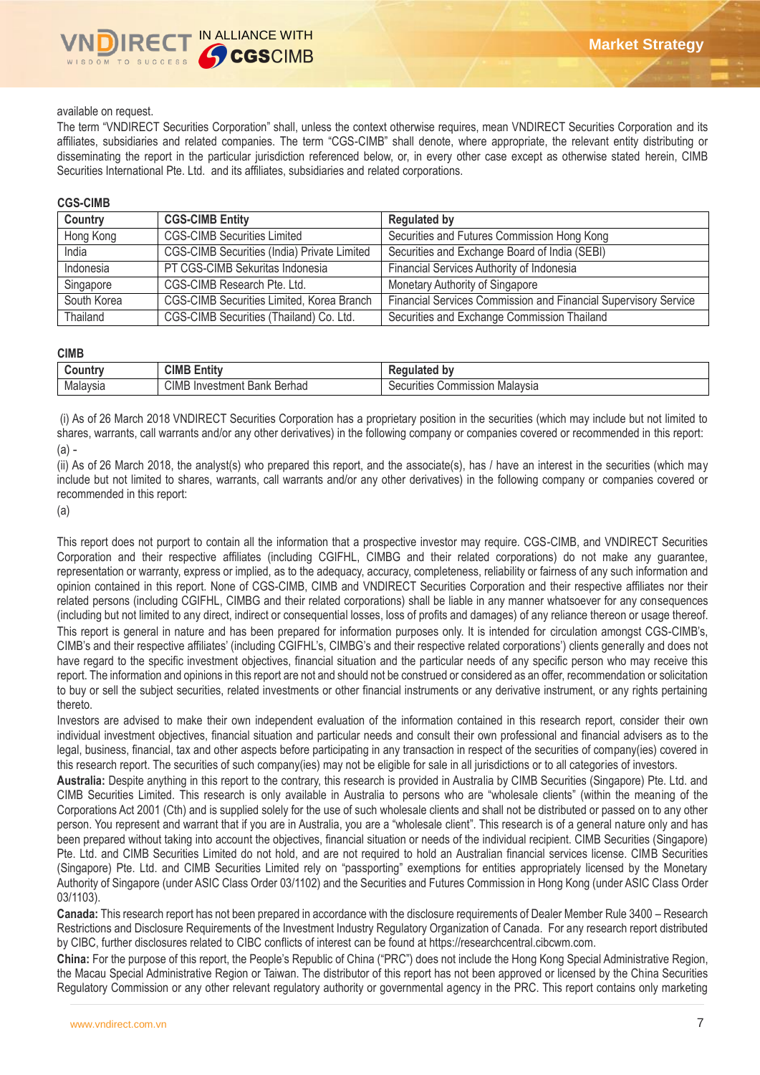## available on request.

The term "VNDIRECT Securities Corporation" shall, unless the context otherwise requires, mean VNDIRECT Securities Corporation and its affiliates, subsidiaries and related companies. The term "CGS-CIMB" shall denote, where appropriate, the relevant entity distributing or disseminating the report in the particular jurisdiction referenced below, or, in every other case except as otherwise stated herein, CIMB Securities International Pte. Ltd. and its affiliates, subsidiaries and related corporations.

### **CGS-CIMB**

| Country     | <b>CGS-CIMB Entity</b>                             | <b>Regulated by</b>                                             |
|-------------|----------------------------------------------------|-----------------------------------------------------------------|
| Hong Kong   | <b>CGS-CIMB Securities Limited</b>                 | Securities and Futures Commission Hong Kong                     |
| India       | <b>CGS-CIMB Securities (India) Private Limited</b> | Securities and Exchange Board of India (SEBI)                   |
| Indonesia   | PT CGS-CIMB Sekuritas Indonesia                    | Financial Services Authority of Indonesia                       |
| Singapore   | CGS-CIMB Research Pte. Ltd.                        | Monetary Authority of Singapore                                 |
| South Korea | CGS-CIMB Securities Limited, Korea Branch          | Financial Services Commission and Financial Supervisory Service |
| Thailand    | CGS-CIMB Securities (Thailand) Co. Ltd.            | Securities and Exchange Commission Thailand                     |

#### **CIMB**

| ountr'   | <b>CIMB</b><br>$\overline{1}$<br>ntity | b٧                                                |
|----------|----------------------------------------|---------------------------------------------------|
| Malaysia | CIMB<br>Berhad<br>Investment Bank      | Malavsia<br>Commission "<br>'ities<br>$\sim$<br>. |

(i) As of 26 March 2018 VNDIRECT Securities Corporation has a proprietary position in the securities (which may include but not limited to shares, warrants, call warrants and/or any other derivatives) in the following company or companies covered or recommended in this report: (a) -

(ii) As of 26 March 2018, the analyst(s) who prepared this report, and the associate(s), has / have an interest in the securities (which may include but not limited to shares, warrants, call warrants and/or any other derivatives) in the following company or companies covered or recommended in this report:

(a)

This report does not purport to contain all the information that a prospective investor may require. CGS-CIMB, and VNDIRECT Securities Corporation and their respective affiliates (including CGIFHL, CIMBG and their related corporations) do not make any guarantee, representation or warranty, express or implied, as to the adequacy, accuracy, completeness, reliability or fairness of any such information and opinion contained in this report. None of CGS-CIMB, CIMB and VNDIRECT Securities Corporation and their respective affiliates nor their related persons (including CGIFHL, CIMBG and their related corporations) shall be liable in any manner whatsoever for any consequences (including but not limited to any direct, indirect or consequential losses, loss of profits and damages) of any reliance thereon or usage thereof. This report is general in nature and has been prepared for information purposes only. It is intended for circulation amongst CGS-CIMB's, CIMB's and their respective affiliates' (including CGIFHL's, CIMBG's and their respective related corporations') clients generally and does not have regard to the specific investment objectives, financial situation and the particular needs of any specific person who may receive this report. The information and opinions in this report are not and should not be construed or considered as an offer, recommendation or solicitation to buy or sell the subject securities, related investments or other financial instruments or any derivative instrument, or any rights pertaining thereto.

Investors are advised to make their own independent evaluation of the information contained in this research report, consider their own individual investment objectives, financial situation and particular needs and consult their own professional and financial advisers as to the legal, business, financial, tax and other aspects before participating in any transaction in respect of the securities of company(ies) covered in this research report. The securities of such company(ies) may not be eligible for sale in all jurisdictions or to all categories of investors.

**Australia:** Despite anything in this report to the contrary, this research is provided in Australia by CIMB Securities (Singapore) Pte. Ltd. and CIMB Securities Limited. This research is only available in Australia to persons who are "wholesale clients" (within the meaning of the Corporations Act 2001 (Cth) and is supplied solely for the use of such wholesale clients and shall not be distributed or passed on to any other person. You represent and warrant that if you are in Australia, you are a "wholesale client". This research is of a general nature only and has been prepared without taking into account the objectives, financial situation or needs of the individual recipient. CIMB Securities (Singapore) Pte. Ltd. and CIMB Securities Limited do not hold, and are not required to hold an Australian financial services license. CIMB Securities (Singapore) Pte. Ltd. and CIMB Securities Limited rely on "passporting" exemptions for entities appropriately licensed by the Monetary Authority of Singapore (under ASIC Class Order 03/1102) and the Securities and Futures Commission in Hong Kong (under ASIC Class Order 03/1103).

**Canada:** This research report has not been prepared in accordance with the disclosure requirements of Dealer Member Rule 3400 – Research Restrictions and Disclosure Requirements of the Investment Industry Regulatory Organization of Canada. For any research report distributed by CIBC, further disclosures related to CIBC conflicts of interest can be found at https://researchcentral.cibcwm.com.

**China:** For the purpose of this report, the People's Republic of China ("PRC") does not include the Hong Kong Special Administrative Region, the Macau Special Administrative Region or Taiwan. The distributor of this report has not been approved or licensed by the China Securities Regulatory Commission or any other relevant regulatory authority or governmental agency in the PRC. This report contains only marketing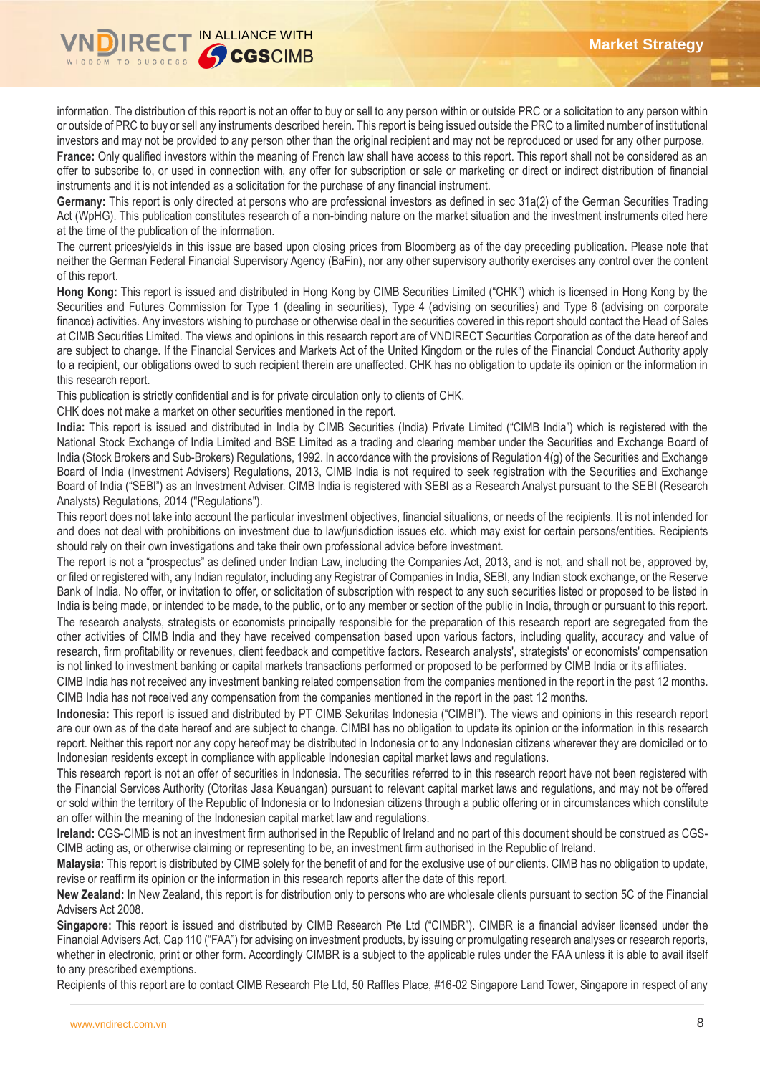

information. The distribution of this report is not an offer to buy or sell to any person within or outside PRC or a solicitation to any person within or outside of PRC to buy or sell any instruments described herein. This report is being issued outside the PRC to a limited number of institutional investors and may not be provided to any person other than the original recipient and may not be reproduced or used for any other purpose.

France: Only qualified investors within the meaning of French law shall have access to this report. This report shall not be considered as an offer to subscribe to, or used in connection with, any offer for subscription or sale or marketing or direct or indirect distribution of financial instruments and it is not intended as a solicitation for the purchase of any financial instrument.

**Germany:** This report is only directed at persons who are professional investors as defined in sec 31a(2) of the German Securities Trading Act (WpHG). This publication constitutes research of a non-binding nature on the market situation and the investment instruments cited here at the time of the publication of the information.

The current prices/yields in this issue are based upon closing prices from Bloomberg as of the day preceding publication. Please note that neither the German Federal Financial Supervisory Agency (BaFin), nor any other supervisory authority exercises any control over the content of this report.

**Hong Kong:** This report is issued and distributed in Hong Kong by CIMB Securities Limited ("CHK") which is licensed in Hong Kong by the Securities and Futures Commission for Type 1 (dealing in securities), Type 4 (advising on securities) and Type 6 (advising on corporate finance) activities. Any investors wishing to purchase or otherwise deal in the securities covered in this report should contact the Head of Sales at CIMB Securities Limited. The views and opinions in this research report are of VNDIRECT Securities Corporation as of the date hereof and are subject to change. If the Financial Services and Markets Act of the United Kingdom or the rules of the Financial Conduct Authority apply to a recipient, our obligations owed to such recipient therein are unaffected. CHK has no obligation to update its opinion or the information in this research report.

This publication is strictly confidential and is for private circulation only to clients of CHK.

CHK does not make a market on other securities mentioned in the report.

**India:** This report is issued and distributed in India by CIMB Securities (India) Private Limited ("CIMB India") which is registered with the National Stock Exchange of India Limited and BSE Limited as a trading and clearing member under the Securities and Exchange Board of India (Stock Brokers and Sub-Brokers) Regulations, 1992. In accordance with the provisions of Regulation 4(g) of the Securities and Exchange Board of India (Investment Advisers) Regulations, 2013, CIMB India is not required to seek registration with the Securities and Exchange Board of India ("SEBI") as an Investment Adviser. CIMB India is registered with SEBI as a Research Analyst pursuant to the SEBI (Research Analysts) Regulations, 2014 ("Regulations").

This report does not take into account the particular investment objectives, financial situations, or needs of the recipients. It is not intended for and does not deal with prohibitions on investment due to law/jurisdiction issues etc. which may exist for certain persons/entities. Recipients should rely on their own investigations and take their own professional advice before investment.

The report is not a "prospectus" as defined under Indian Law, including the Companies Act, 2013, and is not, and shall not be, approved by, or filed or registered with, any Indian regulator, including any Registrar of Companies in India, SEBI, any Indian stock exchange, or the Reserve Bank of India. No offer, or invitation to offer, or solicitation of subscription with respect to any such securities listed or proposed to be listed in India is being made, or intended to be made, to the public, or to any member or section of the public in India, through or pursuant to this report. The research analysts, strategists or economists principally responsible for the preparation of this research report are segregated from the other activities of CIMB India and they have received compensation based upon various factors, including quality, accuracy and value of research, firm profitability or revenues, client feedback and competitive factors. Research analysts', strategists' or economists' compensation is not linked to investment banking or capital markets transactions performed or proposed to be performed by CIMB India or its affiliates.

CIMB India has not received any investment banking related compensation from the companies mentioned in the report in the past 12 months. CIMB India has not received any compensation from the companies mentioned in the report in the past 12 months.

**Indonesia:** This report is issued and distributed by PT CIMB Sekuritas Indonesia ("CIMBI"). The views and opinions in this research report are our own as of the date hereof and are subject to change. CIMBI has no obligation to update its opinion or the information in this research report. Neither this report nor any copy hereof may be distributed in Indonesia or to any Indonesian citizens wherever they are domiciled or to Indonesian residents except in compliance with applicable Indonesian capital market laws and regulations.

This research report is not an offer of securities in Indonesia. The securities referred to in this research report have not been registered with the Financial Services Authority (Otoritas Jasa Keuangan) pursuant to relevant capital market laws and regulations, and may not be offered or sold within the territory of the Republic of Indonesia or to Indonesian citizens through a public offering or in circumstances which constitute an offer within the meaning of the Indonesian capital market law and regulations.

**Ireland:** CGS-CIMB is not an investment firm authorised in the Republic of Ireland and no part of this document should be construed as CGS-CIMB acting as, or otherwise claiming or representing to be, an investment firm authorised in the Republic of Ireland.

**Malaysia:** This report is distributed by CIMB solely for the benefit of and for the exclusive use of our clients. CIMB has no obligation to update, revise or reaffirm its opinion or the information in this research reports after the date of this report.

**New Zealand:** In New Zealand, this report is for distribution only to persons who are wholesale clients pursuant to section 5C of the Financial Advisers Act 2008.

**Singapore:** This report is issued and distributed by CIMB Research Pte Ltd ("CIMBR"). CIMBR is a financial adviser licensed under the Financial Advisers Act, Cap 110 ("FAA") for advising on investment products, by issuing or promulgating research analyses or research reports, whether in electronic, print or other form. Accordingly CIMBR is a subject to the applicable rules under the FAA unless it is able to avail itself to any prescribed exemptions.

Recipients of this report are to contact CIMB Research Pte Ltd, 50 Raffles Place, #16-02 Singapore Land Tower, Singapore in respect of any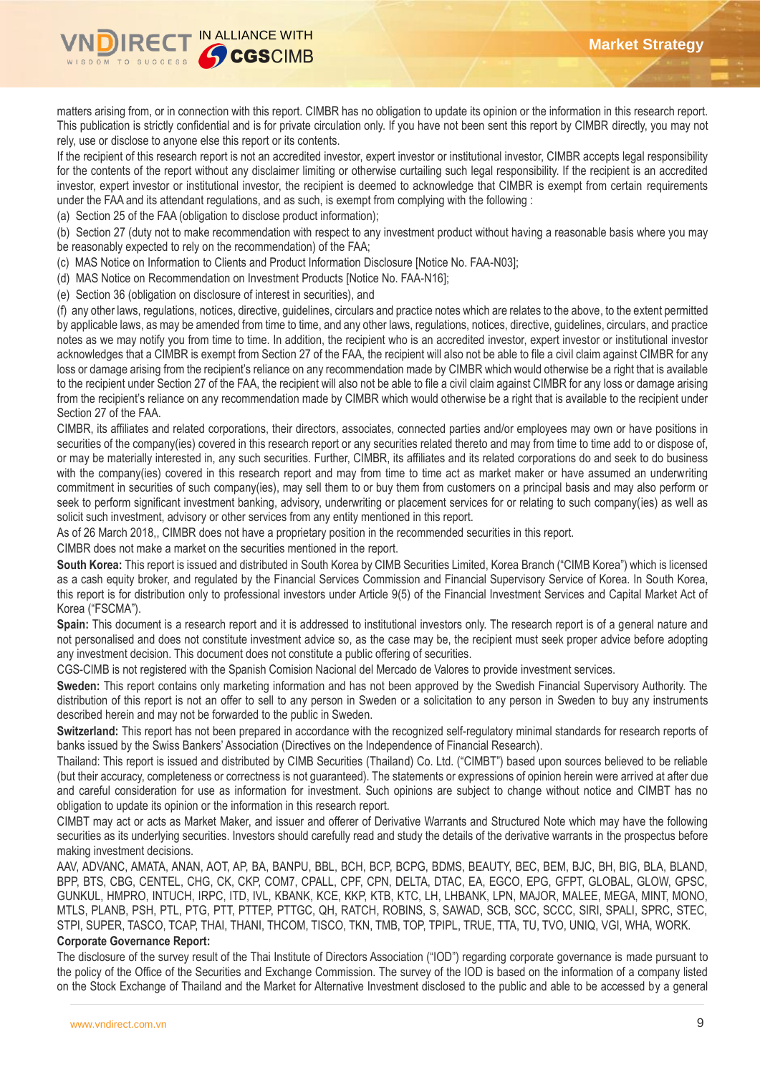

matters arising from, or in connection with this report. CIMBR has no obligation to update its opinion or the information in this research report. This publication is strictly confidential and is for private circulation only. If you have not been sent this report by CIMBR directly, you may not rely, use or disclose to anyone else this report or its contents.

If the recipient of this research report is not an accredited investor, expert investor or institutional investor, CIMBR accepts legal responsibility for the contents of the report without any disclaimer limiting or otherwise curtailing such legal responsibility. If the recipient is an accredited investor, expert investor or institutional investor, the recipient is deemed to acknowledge that CIMBR is exempt from certain requirements under the FAA and its attendant regulations, and as such, is exempt from complying with the following :

(a) Section 25 of the FAA (obligation to disclose product information);

(b) Section 27 (duty not to make recommendation with respect to any investment product without having a reasonable basis where you may be reasonably expected to rely on the recommendation) of the FAA;

(c) MAS Notice on Information to Clients and Product Information Disclosure [Notice No. FAA-N03];

(d) MAS Notice on Recommendation on Investment Products [Notice No. FAA-N16];

(e) Section 36 (obligation on disclosure of interest in securities), and

(f) any other laws, regulations, notices, directive, guidelines, circulars and practice notes which are relates to the above, to the extent permitted by applicable laws, as may be amended from time to time, and any other laws, regulations, notices, directive, guidelines, circulars, and practice notes as we may notify you from time to time. In addition, the recipient who is an accredited investor, expert investor or institutional investor acknowledges that a CIMBR is exempt from Section 27 of the FAA, the recipient will also not be able to file a civil claim against CIMBR for any loss or damage arising from the recipient's reliance on any recommendation made by CIMBR which would otherwise be a right that is available to the recipient under Section 27 of the FAA, the recipient will also not be able to file a civil claim against CIMBR for any loss or damage arising from the recipient's reliance on any recommendation made by CIMBR which would otherwise be a right that is available to the recipient under Section 27 of the FAA.

CIMBR, its affiliates and related corporations, their directors, associates, connected parties and/or employees may own or have positions in securities of the company(ies) covered in this research report or any securities related thereto and may from time to time add to or dispose of, or may be materially interested in, any such securities. Further, CIMBR, its affiliates and its related corporations do and seek to do business with the company(ies) covered in this research report and may from time to time act as market maker or have assumed an underwriting commitment in securities of such company(ies), may sell them to or buy them from customers on a principal basis and may also perform or seek to perform significant investment banking, advisory, underwriting or placement services for or relating to such company(ies) as well as solicit such investment, advisory or other services from any entity mentioned in this report.

As of 26 March 2018,, CIMBR does not have a proprietary position in the recommended securities in this report.

CIMBR does not make a market on the securities mentioned in the report.

**South Korea:** This report is issued and distributed in South Korea by CIMB Securities Limited, Korea Branch ("CIMB Korea") which is licensed as a cash equity broker, and regulated by the Financial Services Commission and Financial Supervisory Service of Korea. In South Korea, this report is for distribution only to professional investors under Article 9(5) of the Financial Investment Services and Capital Market Act of Korea ("FSCMA").

**Spain:** This document is a research report and it is addressed to institutional investors only. The research report is of a general nature and not personalised and does not constitute investment advice so, as the case may be, the recipient must seek proper advice before adopting any investment decision. This document does not constitute a public offering of securities.

CGS-CIMB is not registered with the Spanish Comision Nacional del Mercado de Valores to provide investment services.

**Sweden:** This report contains only marketing information and has not been approved by the Swedish Financial Supervisory Authority. The distribution of this report is not an offer to sell to any person in Sweden or a solicitation to any person in Sweden to buy any instruments described herein and may not be forwarded to the public in Sweden.

**Switzerland:** This report has not been prepared in accordance with the recognized self-regulatory minimal standards for research reports of banks issued by the Swiss Bankers' Association (Directives on the Independence of Financial Research).

Thailand: This report is issued and distributed by CIMB Securities (Thailand) Co. Ltd. ("CIMBT") based upon sources believed to be reliable (but their accuracy, completeness or correctness is not guaranteed). The statements or expressions of opinion herein were arrived at after due and careful consideration for use as information for investment. Such opinions are subject to change without notice and CIMBT has no obligation to update its opinion or the information in this research report.

CIMBT may act or acts as Market Maker, and issuer and offerer of Derivative Warrants and Structured Note which may have the following securities as its underlying securities. Investors should carefully read and study the details of the derivative warrants in the prospectus before making investment decisions.

AAV, ADVANC, AMATA, ANAN, AOT, AP, BA, BANPU, BBL, BCH, BCP, BCPG, BDMS, BEAUTY, BEC, BEM, BJC, BH, BIG, BLA, BLAND, BPP, BTS, CBG, CENTEL, CHG, CK, CKP, COM7, CPALL, CPF, CPN, DELTA, DTAC, EA, EGCO, EPG, GFPT, GLOBAL, GLOW, GPSC, GUNKUL, HMPRO, INTUCH, IRPC, ITD, IVL, KBANK, KCE, KKP, KTB, KTC, LH, LHBANK, LPN, MAJOR, MALEE, MEGA, MINT, MONO, MTLS, PLANB, PSH, PTL, PTG, PTT, PTTEP, PTTGC, QH, RATCH, ROBINS, S, SAWAD, SCB, SCC, SCCC, SIRI, SPALI, SPRC, STEC, STPI, SUPER, TASCO, TCAP, THAI, THANI, THCOM, TISCO, TKN, TMB, TOP, TPIPL, TRUE, TTA, TU, TVO, UNIQ, VGI, WHA, WORK.

#### **Corporate Governance Report:**

The disclosure of the survey result of the Thai Institute of Directors Association ("IOD") regarding corporate governance is made pursuant to the policy of the Office of the Securities and Exchange Commission. The survey of the IOD is based on the information of a company listed on the Stock Exchange of Thailand and the Market for Alternative Investment disclosed to the public and able to be accessed by a general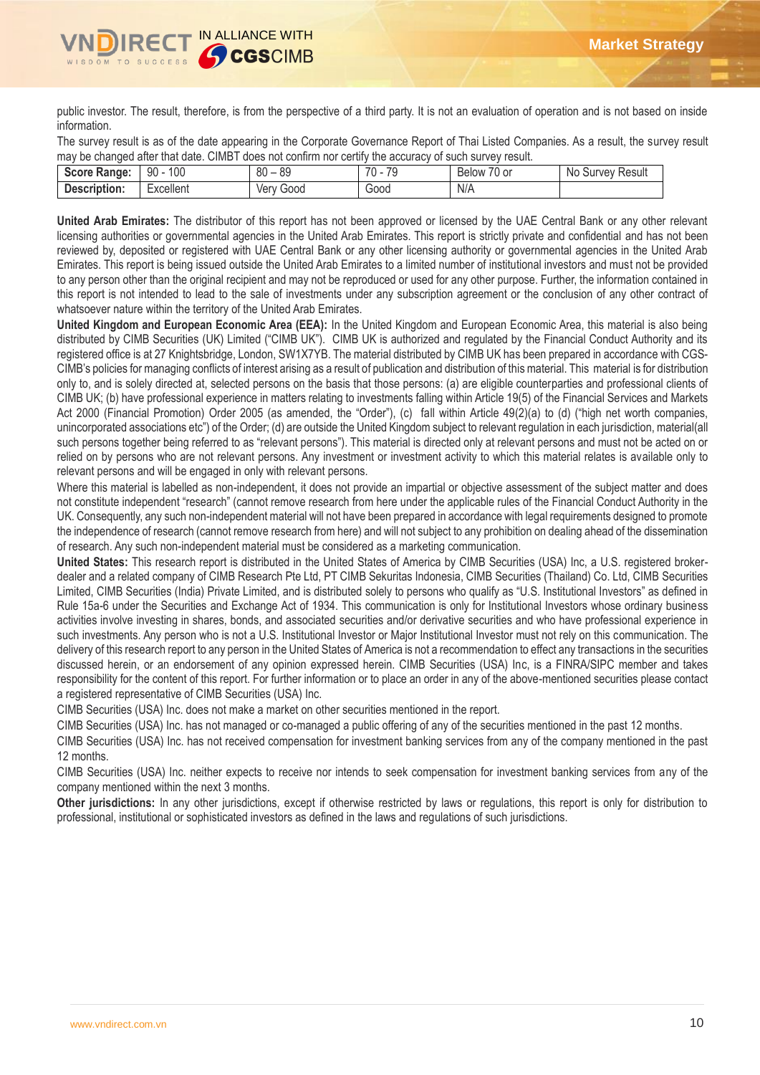

public investor. The result, therefore, is from the perspective of a third party. It is not an evaluation of operation and is not based on inside information.

The survey result is as of the date appearing in the Corporate Governance Report of Thai Listed Companies. As a result, the survey result may be changed after that date. CIMBT does not confirm nor certify the accuracy of such survey result.

| <b>Score Range:</b> | 100<br>90 | $\circ$<br>80<br>οz | 70<br>$\overline{\phantom{a}}$ | $\overline{\phantom{a}}$<br>$\overline{\phantom{a}}$<br>Below<br>/U or | No<br>Result<br>Survey |
|---------------------|-----------|---------------------|--------------------------------|------------------------------------------------------------------------|------------------------|
| Description:        | xcellent: | Good<br>ver         | 000ن                           | N/A                                                                    |                        |

**United Arab Emirates:** The distributor of this report has not been approved or licensed by the UAE Central Bank or any other relevant licensing authorities or governmental agencies in the United Arab Emirates. This report is strictly private and confidential and has not been reviewed by, deposited or registered with UAE Central Bank or any other licensing authority or governmental agencies in the United Arab Emirates. This report is being issued outside the United Arab Emirates to a limited number of institutional investors and must not be provided to any person other than the original recipient and may not be reproduced or used for any other purpose. Further, the information contained in this report is not intended to lead to the sale of investments under any subscription agreement or the conclusion of any other contract of whatsoever nature within the territory of the United Arab Emirates.

**United Kingdom and European Economic Area (EEA):** In the United Kingdom and European Economic Area, this material is also being distributed by CIMB Securities (UK) Limited ("CIMB UK"). CIMB UK is authorized and regulated by the Financial Conduct Authority and its registered office is at 27 Knightsbridge, London, SW1X7YB. The material distributed by CIMB UK has been prepared in accordance with CGS-CIMB's policies for managing conflicts of interest arising as a result of publication and distribution of this material. This material is for distribution only to, and is solely directed at, selected persons on the basis that those persons: (a) are eligible counterparties and professional clients of CIMB UK; (b) have professional experience in matters relating to investments falling within Article 19(5) of the Financial Services and Markets Act 2000 (Financial Promotion) Order 2005 (as amended, the "Order"), (c) fall within Article 49(2)(a) to (d) ("high net worth companies, unincorporated associations etc") of the Order; (d) are outside the United Kingdom subject to relevant regulation in each jurisdiction, material(all such persons together being referred to as "relevant persons"). This material is directed only at relevant persons and must not be acted on or relied on by persons who are not relevant persons. Any investment or investment activity to which this material relates is available only to relevant persons and will be engaged in only with relevant persons.

Where this material is labelled as non-independent, it does not provide an impartial or objective assessment of the subject matter and does not constitute independent "research" (cannot remove research from here under the applicable rules of the Financial Conduct Authority in the UK. Consequently, any such non-independent material will not have been prepared in accordance with legal requirements designed to promote the independence of research (cannot remove research from here) and will not subject to any prohibition on dealing ahead of the dissemination of research. Any such non-independent material must be considered as a marketing communication.

**United States:** This research report is distributed in the United States of America by CIMB Securities (USA) Inc, a U.S. registered brokerdealer and a related company of CIMB Research Pte Ltd, PT CIMB Sekuritas Indonesia, CIMB Securities (Thailand) Co. Ltd, CIMB Securities Limited, CIMB Securities (India) Private Limited, and is distributed solely to persons who qualify as "U.S. Institutional Investors" as defined in Rule 15a-6 under the Securities and Exchange Act of 1934. This communication is only for Institutional Investors whose ordinary business activities involve investing in shares, bonds, and associated securities and/or derivative securities and who have professional experience in such investments. Any person who is not a U.S. Institutional Investor or Major Institutional Investor must not rely on this communication. The delivery of this research report to any person in the United States of America is not a recommendation to effect any transactions in the securities discussed herein, or an endorsement of any opinion expressed herein. CIMB Securities (USA) Inc, is a FINRA/SIPC member and takes responsibility for the content of this report. For further information or to place an order in any of the above-mentioned securities please contact a registered representative of CIMB Securities (USA) Inc.

CIMB Securities (USA) Inc. does not make a market on other securities mentioned in the report.

CIMB Securities (USA) Inc. has not managed or co-managed a public offering of any of the securities mentioned in the past 12 months.

CIMB Securities (USA) Inc. has not received compensation for investment banking services from any of the company mentioned in the past 12 months.

CIMB Securities (USA) Inc. neither expects to receive nor intends to seek compensation for investment banking services from any of the company mentioned within the next 3 months.

**Other jurisdictions:** In any other jurisdictions, except if otherwise restricted by laws or regulations, this report is only for distribution to professional, institutional or sophisticated investors as defined in the laws and regulations of such jurisdictions.